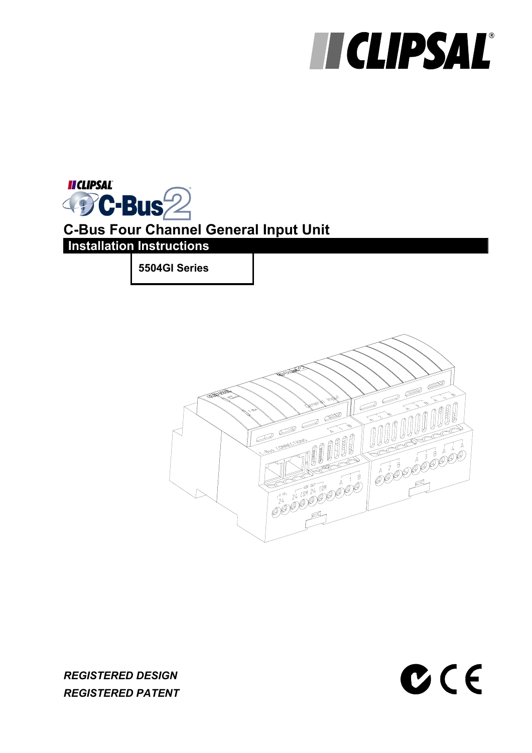# **HICLIPSAL®**

 $C C$ 



**5504GI Series** 



*REGISTERED DESIGN REGISTERED PATENT*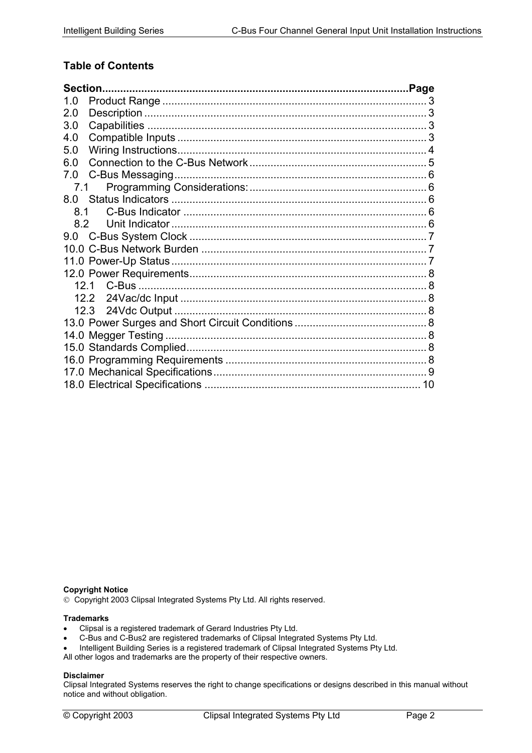## **Table of Contents**

| Section. |  |
|----------|--|
| 1.0      |  |
| 2.0      |  |
| 3.0      |  |
| 4.0      |  |
| 5.0      |  |
| 6.0      |  |
| 7.0      |  |
| 7.1      |  |
| 8.0      |  |
| 8.1      |  |
| 8.2      |  |
|          |  |
|          |  |
|          |  |
|          |  |
|          |  |
| 12.2     |  |
| 12.3     |  |
|          |  |
|          |  |
|          |  |
|          |  |
|          |  |
|          |  |

#### **Copyright Notice**

Copyright 2003 Clipsal Integrated Systems Pty Ltd. All rights reserved.

#### **Trademarks**

- Clipsal is a registered trademark of Gerard Industries Pty Ltd.
- C-Bus and C-Bus2 are registered trademarks of Clipsal Integrated Systems Pty Ltd.
- Intelligent Building Series is a registered trademark of Clipsal Integrated Systems Pty Ltd.

All other logos and trademarks are the property of their respective owners.

#### **Disclaimer**

Clipsal Integrated Systems reserves the right to change specifications or designs described in this manual without notice and without obligation.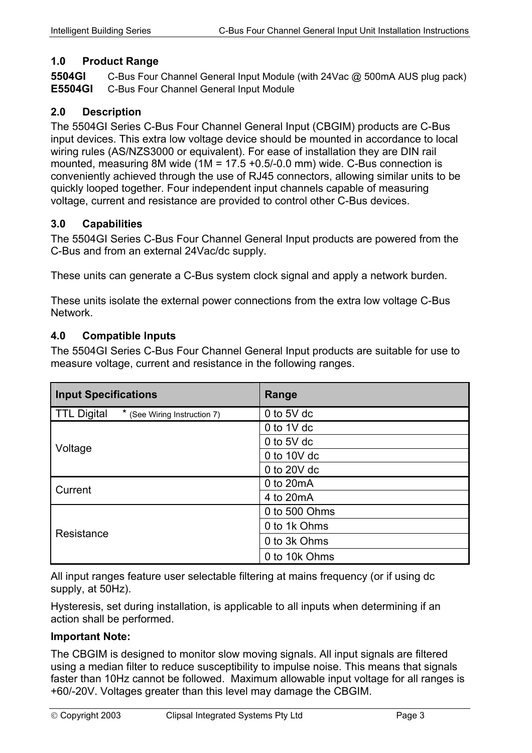#### <span id="page-2-0"></span>**1.0 Product Range**

**5504GI** C-Bus Four Channel General Input Module (with 24Vac @ 500mA AUS plug pack) **E5504GI** C-Bus Four Channel General Input Module

#### **2.0 Description**

The 5504GI Series C-Bus Four Channel General Input (CBGIM) products are C-Bus input devices. This extra low voltage device should be mounted in accordance to local wiring rules (AS/NZS3000 or equivalent). For ease of installation they are DIN rail mounted, measuring 8M wide (1M = 17.5 +0.5/-0.0 mm) wide. C-Bus connection is conveniently achieved through the use of RJ45 connectors, allowing similar units to be quickly looped together. Four independent input channels capable of measuring voltage, current and resistance are provided to control other C-Bus devices.

#### **3.0 Capabilities**

The 5504GI Series C-Bus Four Channel General Input products are powered from the C-Bus and from an external 24Vac/dc supply.

These units can generate a C-Bus system clock signal and apply a network burden.

These units isolate the external power connections from the extra low voltage C-Bus Network.

#### **4.0 Compatible Inputs**

The 5504GI Series C-Bus Four Channel General Input products are suitable for use to measure voltage, current and resistance in the following ranges.

| <b>Input Specifications</b>                           | Range          |
|-------------------------------------------------------|----------------|
| <b>TTL Digital</b><br>*<br>(See Wiring Instruction 7) | 0 to $5V$ dc   |
|                                                       | 0 to $1V$ dc   |
| Voltage                                               | 0 to $5V$ dc   |
|                                                       | 0 to 10 $V$ dc |
|                                                       | 0 to 20V dc    |
| Current                                               | 0 to 20mA      |
|                                                       | 4 to 20 mA     |
|                                                       | 0 to 500 Ohms  |
| Resistance                                            | 0 to 1k Ohms   |
|                                                       | 0 to 3k Ohms   |
|                                                       | 0 to 10k Ohms  |

All input ranges feature user selectable filtering at mains frequency (or if using dc supply, at 50Hz).

Hysteresis, set during installation, is applicable to all inputs when determining if an action shall be performed.

#### **Important Note:**

The CBGIM is designed to monitor slow moving signals. All input signals are filtered using a median filter to reduce susceptibility to impulse noise. This means that signals faster than 10Hz cannot be followed. Maximum allowable input voltage for all ranges is +60/-20V. Voltages greater than this level may damage the CBGIM.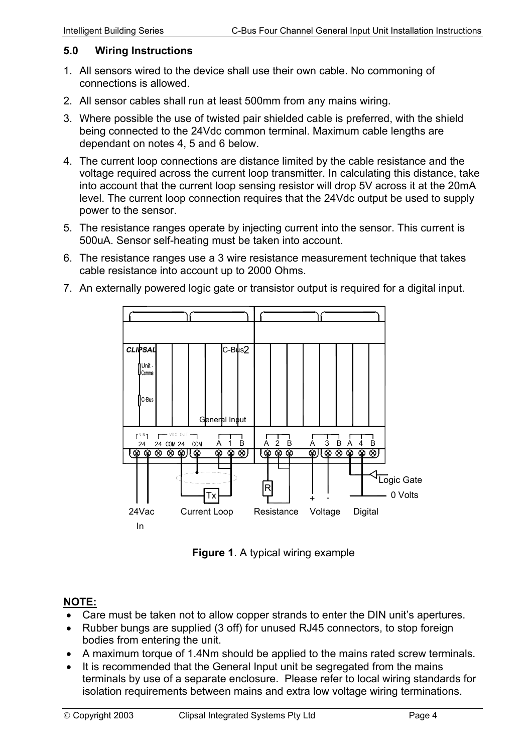#### <span id="page-3-0"></span>**5.0 Wiring Instructions**

- 1. All sensors wired to the device shall use their own cable. No commoning of connections is allowed.
- 2. All sensor cables shall run at least 500mm from any mains wiring.
- 3. Where possible the use of twisted pair shielded cable is preferred, with the shield being connected to the 24Vdc common terminal. Maximum cable lengths are dependant on notes 4, 5 and 6 below.
- 4. The current loop connections are distance limited by the cable resistance and the voltage required across the current loop transmitter. In calculating this distance, take into account that the current loop sensing resistor will drop 5V across it at the 20mA level. The current loop connection requires that the 24Vdc output be used to supply power to the sensor.
- 5. The resistance ranges operate by injecting current into the sensor. This current is 500uA. Sensor self-heating must be taken into account.
- 6. The resistance ranges use a 3 wire resistance measurement technique that takes cable resistance into account up to 2000 Ohms.



7. An externally powered logic gate or transistor output is required for a digital input.

**Figure 1**. A typical wiring example

## **NOTE:**

- Care must be taken not to allow copper strands to enter the DIN unit's apertures.
- Rubber bungs are supplied (3 off) for unused RJ45 connectors, to stop foreign bodies from entering the unit.
- A maximum torque of 1.4Nm should be applied to the mains rated screw terminals.
- It is recommended that the General Input unit be segregated from the mains terminals by use of a separate enclosure. Please refer to local wiring standards for isolation requirements between mains and extra low voltage wiring terminations.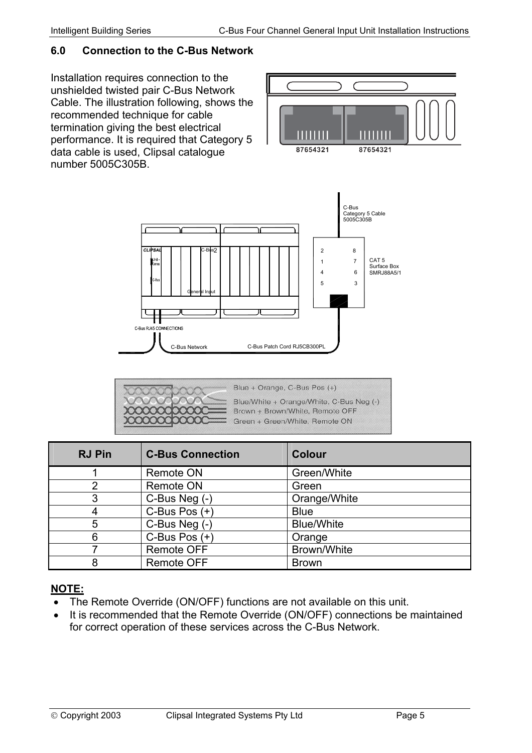## <span id="page-4-0"></span>**6.0 Connection to the C-Bus Network**

Installation requires connection to the unshielded twisted pair C-Bus Network Cable. The illustration following, shows the recommended technique for cable termination giving the best electrical performance. It is required that Category 5 data cable is used, Clipsal catalogue number 5005C305B.





C-Bus Network

C. Bus RJ45 CONNECTIONS

General Input

C-Bus2

| <b>RJ Pin</b> | <b>C-Bus Connection</b> | <b>Colour</b>     |
|---------------|-------------------------|-------------------|
|               | <b>Remote ON</b>        | Green/White       |
| 2             | <b>Remote ON</b>        | Green             |
| 3             | C-Bus Neg (-)           | Orange/White      |
|               | C-Bus Pos $(+)$         | <b>Blue</b>       |
| 5             | C-Bus Neg (-)           | <b>Blue/White</b> |
| 6             | C-Bus Pos $(+)$         | Orange            |
|               | <b>Remote OFF</b>       | Brown/White       |
| 8             | <b>Remote OFF</b>       | <b>Brown</b>      |

## **NOTE:**

- The Remote Override (ON/OFF) functions are not available on this unit.
- It is recommended that the Remote Override (ON/OFF) connections be maintained for correct operation of these services across the C-Bus Network.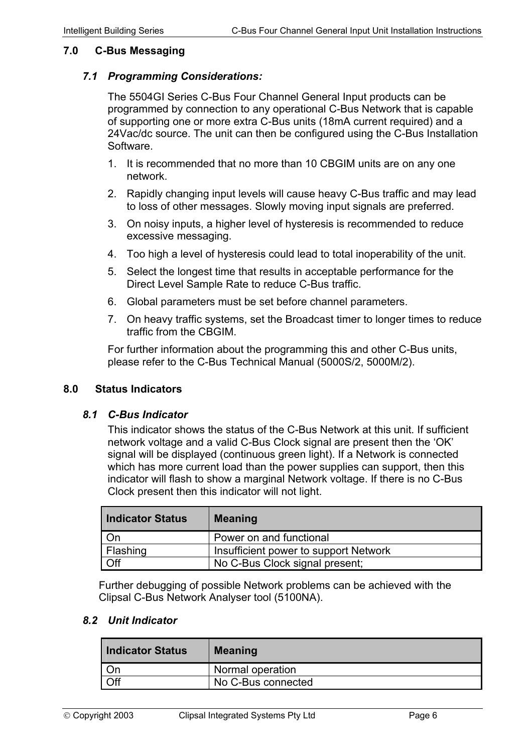#### <span id="page-5-0"></span>**7.0 C-Bus Messaging**

#### *7.1 Programming Considerations:*

The 5504GI Series C-Bus Four Channel General Input products can be programmed by connection to any operational C-Bus Network that is capable of supporting one or more extra C-Bus units (18mA current required) and a 24Vac/dc source. The unit can then be configured using the C-Bus Installation Software.

- 1. It is recommended that no more than 10 CBGIM units are on any one network.
- 2. Rapidly changing input levels will cause heavy C-Bus traffic and may lead to loss of other messages. Slowly moving input signals are preferred.
- 3. On noisy inputs, a higher level of hysteresis is recommended to reduce excessive messaging.
- 4. Too high a level of hysteresis could lead to total inoperability of the unit.
- 5. Select the longest time that results in acceptable performance for the Direct Level Sample Rate to reduce C-Bus traffic.
- 6. Global parameters must be set before channel parameters.
- 7. On heavy traffic systems, set the Broadcast timer to longer times to reduce traffic from the CBGIM.

For further information about the programming this and other C-Bus units, please refer to the C-Bus Technical Manual (5000S/2, 5000M/2).

#### **8.0 Status Indicators**

#### *8.1 C-Bus Indicator*

This indicator shows the status of the C-Bus Network at this unit. If sufficient network voltage and a valid C-Bus Clock signal are present then the 'OK' signal will be displayed (continuous green light). If a Network is connected which has more current load than the power supplies can support, then this indicator will flash to show a marginal Network voltage. If there is no C-Bus Clock present then this indicator will not light.

| Indicator Status | <b>Meaning</b>                        |
|------------------|---------------------------------------|
| On               | Power on and functional               |
| Flashing         | Insufficient power to support Network |
| Off              | No C-Bus Clock signal present;        |

Further debugging of possible Network problems can be achieved with the Clipsal C-Bus Network Analyser tool (5100NA).

#### *8.2 Unit Indicator*

| <b>Indicator Status</b> | <b>Meaning</b>     |
|-------------------------|--------------------|
| l On                    | Normal operation   |
| I Off                   | No C-Bus connected |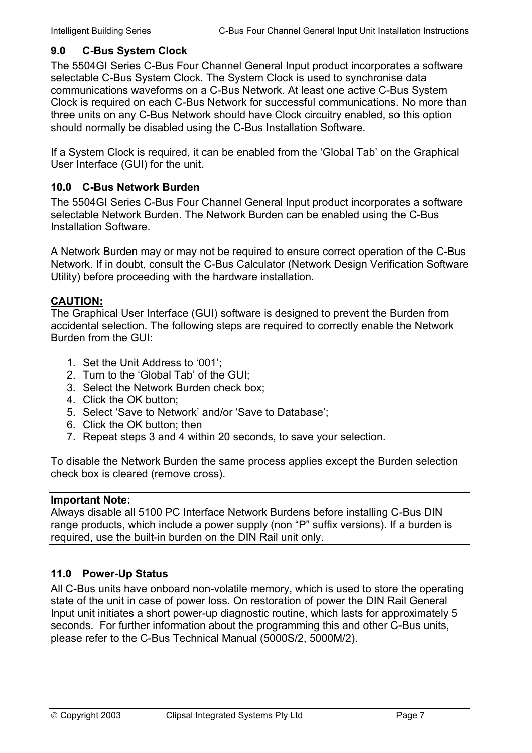#### <span id="page-6-0"></span>**9.0 C-Bus System Clock**

The 5504GI Series C-Bus Four Channel General Input product incorporates a software selectable C-Bus System Clock. The System Clock is used to synchronise data communications waveforms on a C-Bus Network. At least one active C-Bus System Clock is required on each C-Bus Network for successful communications. No more than three units on any C-Bus Network should have Clock circuitry enabled, so this option should normally be disabled using the C-Bus Installation Software.

If a System Clock is required, it can be enabled from the 'Global Tab' on the Graphical User Interface (GUI) for the unit.

#### **10.0 C-Bus Network Burden**

The 5504GI Series C-Bus Four Channel General Input product incorporates a software selectable Network Burden. The Network Burden can be enabled using the C-Bus Installation Software.

A Network Burden may or may not be required to ensure correct operation of the C-Bus Network. If in doubt, consult the C-Bus Calculator (Network Design Verification Software Utility) before proceeding with the hardware installation.

#### **CAUTION:**

The Graphical User Interface (GUI) software is designed to prevent the Burden from accidental selection. The following steps are required to correctly enable the Network Burden from the GUI:

- 1. Set the Unit Address to '001';
- 2. Turn to the 'Global Tab' of the GUI;
- 3. Select the Network Burden check box;
- 4. Click the OK button;
- 5. Select 'Save to Network' and/or 'Save to Database';
- 6. Click the OK button; then
- 7. Repeat steps 3 and 4 within 20 seconds, to save your selection.

To disable the Network Burden the same process applies except the Burden selection check box is cleared (remove cross).

#### **Important Note:**

Always disable all 5100 PC Interface Network Burdens before installing C-Bus DIN range products, which include a power supply (non "P" suffix versions). If a burden is required, use the built-in burden on the DIN Rail unit only.

## **11.0 Power-Up Status**

All C-Bus units have onboard non-volatile memory, which is used to store the operating state of the unit in case of power loss. On restoration of power the DIN Rail General Input unit initiates a short power-up diagnostic routine, which lasts for approximately 5 seconds. For further information about the programming this and other C-Bus units, please refer to the C-Bus Technical Manual (5000S/2, 5000M/2).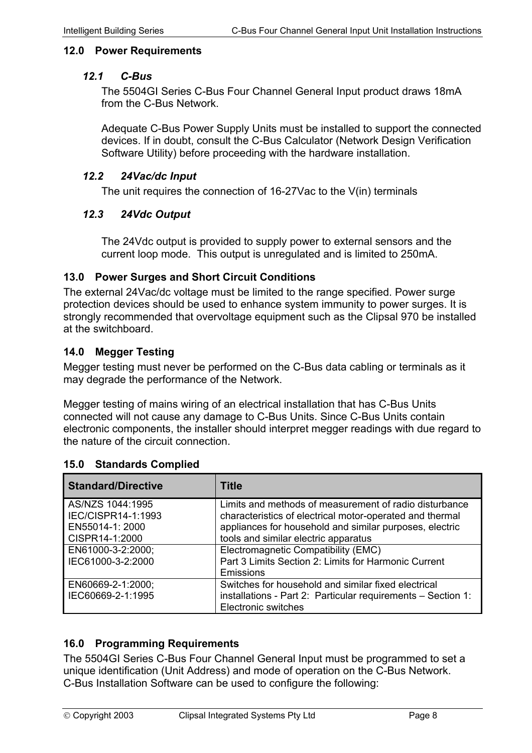#### <span id="page-7-0"></span>**12.0 Power Requirements**

#### *12.1 C-Bus*

The 5504GI Series C-Bus Four Channel General Input product draws 18mA from the C-Bus Network.

Adequate C-Bus Power Supply Units must be installed to support the connected devices. If in doubt, consult the C-Bus Calculator (Network Design Verification Software Utility) before proceeding with the hardware installation.

#### *12.2 24Vac/dc Input*

The unit requires the connection of 16-27Vac to the V(in) terminals

#### *12.3 24Vdc Output*

The 24Vdc output is provided to supply power to external sensors and the current loop mode. This output is unregulated and is limited to 250mA.

#### **13.0 Power Surges and Short Circuit Conditions**

The external 24Vac/dc voltage must be limited to the range specified. Power surge protection devices should be used to enhance system immunity to power surges. It is strongly recommended that overvoltage equipment such as the Clipsal 970 be installed at the switchboard.

#### **14.0 Megger Testing**

Megger testing must never be performed on the C-Bus data cabling or terminals as it may degrade the performance of the Network.

Megger testing of mains wiring of an electrical installation that has C-Bus Units connected will not cause any damage to C-Bus Units. Since C-Bus Units contain electronic components, the installer should interpret megger readings with due regard to the nature of the circuit connection.

| <b>Standard/Directive</b> | Title                                                        |
|---------------------------|--------------------------------------------------------------|
| AS/NZS 1044:1995          | Limits and methods of measurement of radio disturbance       |
| IEC/CISPR14-1:1993        | characteristics of electrical motor-operated and thermal     |
| EN55014-1: 2000           | appliances for household and similar purposes, electric      |
| CISPR14-1:2000            | tools and similar electric apparatus                         |
| EN61000-3-2:2000;         | Electromagnetic Compatibility (EMC)                          |
| IEC61000-3-2:2000         | Part 3 Limits Section 2: Limits for Harmonic Current         |
|                           | <b>Emissions</b>                                             |
| EN60669-2-1:2000;         | Switches for household and similar fixed electrical          |
| IEC60669-2-1:1995         | installations - Part 2: Particular requirements - Section 1: |
|                           | <b>Electronic switches</b>                                   |

#### **15.0 Standards Complied**

## **16.0 Programming Requirements**

The 5504GI Series C-Bus Four Channel General Input must be programmed to set a unique identification (Unit Address) and mode of operation on the C-Bus Network. C-Bus Installation Software can be used to configure the following: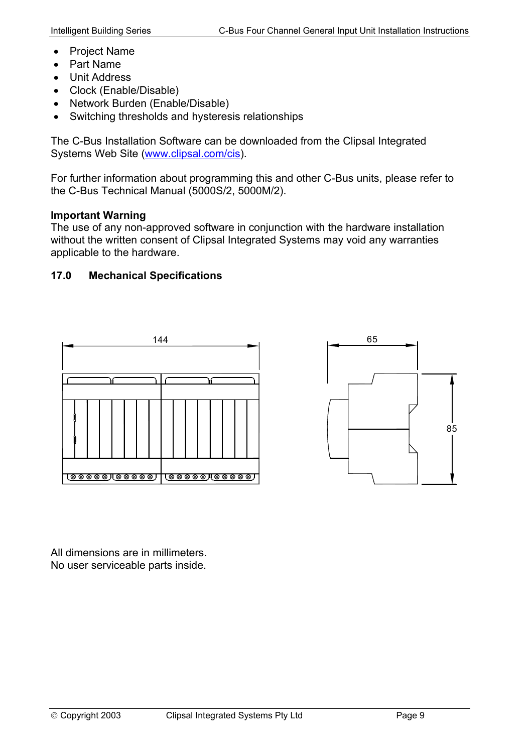- <span id="page-8-0"></span>• Project Name
- Part Name
- Unit Address
- Clock (Enable/Disable)
- Network Burden (Enable/Disable)
- Switching thresholds and hysteresis relationships

The C-Bus Installation Software can be downloaded from the Clipsal Integrated Systems Web Site [\(www.clipsal.com/cis\)](http://www.clipsal.com/cis).

For further information about programming this and other C-Bus units, please refer to the C-Bus Technical Manual (5000S/2, 5000M/2).

## **Important Warning**

The use of any non-approved software in conjunction with the hardware installation without the written consent of Clipsal Integrated Systems may void any warranties applicable to the hardware.

## **17.0 Mechanical Specifications**





All dimensions are in millimeters. No user serviceable parts inside.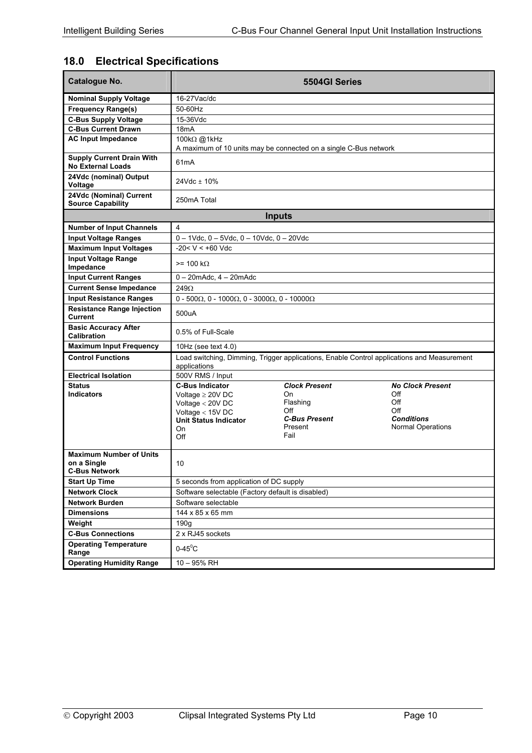## <span id="page-9-0"></span>**18.0 Electrical Specifications**

| Catalogue No.                                                         |                                                                                                                                          | 5504GI Series                                                                            |                                                                                               |  |
|-----------------------------------------------------------------------|------------------------------------------------------------------------------------------------------------------------------------------|------------------------------------------------------------------------------------------|-----------------------------------------------------------------------------------------------|--|
| <b>Nominal Supply Voltage</b>                                         | $16-27$ Vac/dc                                                                                                                           |                                                                                          |                                                                                               |  |
| <b>Frequency Range(s)</b>                                             | 50-60Hz                                                                                                                                  |                                                                                          |                                                                                               |  |
| <b>C-Bus Supply Voltage</b>                                           | 15-36Vdc                                                                                                                                 |                                                                                          |                                                                                               |  |
| <b>C-Bus Current Drawn</b>                                            | 18 <sub>m</sub> A                                                                                                                        |                                                                                          |                                                                                               |  |
| <b>AC Input Impedance</b>                                             | 100kΩ @1kHz                                                                                                                              |                                                                                          |                                                                                               |  |
|                                                                       |                                                                                                                                          | A maximum of 10 units may be connected on a single C-Bus network                         |                                                                                               |  |
| <b>Supply Current Drain With</b><br><b>No External Loads</b>          | 61 <sub>m</sub> A                                                                                                                        |                                                                                          |                                                                                               |  |
| 24Vdc (nominal) Output<br>Voltage                                     | 24Vdc ± 10%                                                                                                                              |                                                                                          |                                                                                               |  |
| 24Vdc (Nominal) Current<br><b>Source Capability</b>                   | 250mA Total                                                                                                                              |                                                                                          |                                                                                               |  |
|                                                                       |                                                                                                                                          | <b>Inputs</b>                                                                            |                                                                                               |  |
| <b>Number of Input Channels</b>                                       | 4                                                                                                                                        |                                                                                          |                                                                                               |  |
| <b>Input Voltage Ranges</b>                                           | $0 - 1$ Vdc, $0 - 5$ Vdc, $0 - 10$ Vdc, $0 - 20$ Vdc                                                                                     |                                                                                          |                                                                                               |  |
| <b>Maximum Input Voltages</b>                                         | $-20 < V < +60$ Vdc                                                                                                                      |                                                                                          |                                                                                               |  |
| <b>Input Voltage Range</b><br>Impedance                               | $>= 100 \text{ k}\Omega$                                                                                                                 |                                                                                          |                                                                                               |  |
| <b>Input Current Ranges</b>                                           | $0 - 20$ mAdc. $4 - 20$ mAdc                                                                                                             |                                                                                          |                                                                                               |  |
| <b>Current Sense Impedance</b>                                        | 249Ω                                                                                                                                     |                                                                                          |                                                                                               |  |
| <b>Input Resistance Ranges</b>                                        | $0 - 500\Omega$ , 0 - 1000 $\Omega$ , 0 - 3000 $\Omega$ , 0 - 10000 $\Omega$                                                             |                                                                                          |                                                                                               |  |
| <b>Resistance Range Injection</b><br>Current                          | 500uA                                                                                                                                    |                                                                                          |                                                                                               |  |
| <b>Basic Accuracy After</b><br>Calibration                            | 0.5% of Full-Scale                                                                                                                       |                                                                                          |                                                                                               |  |
| <b>Maximum Input Frequency</b>                                        | 10Hz (see text $4.0$ )                                                                                                                   |                                                                                          |                                                                                               |  |
| <b>Control Functions</b>                                              | applications                                                                                                                             |                                                                                          | Load switching, Dimming, Trigger applications, Enable Control applications and Measurement    |  |
| <b>Electrical Isolation</b>                                           | 500V RMS / Input                                                                                                                         |                                                                                          |                                                                                               |  |
| <b>Status</b><br><b>Indicators</b>                                    | <b>C-Bus Indicator</b><br>Voltage $\geq 20V$ DC<br>Voltage $<$ 20V DC<br>Voltage $<$ 15V DC<br><b>Unit Status Indicator</b><br>On<br>Off | <b>Clock Present</b><br>On<br>Flashing<br>Off<br><b>C-Bus Present</b><br>Present<br>Fail | <b>No Clock Present</b><br>Off<br>Off<br>Off<br><b>Conditions</b><br><b>Normal Operations</b> |  |
| <b>Maximum Number of Units</b><br>on a Single<br><b>C-Bus Network</b> | 10                                                                                                                                       |                                                                                          |                                                                                               |  |
| <b>Start Up Time</b>                                                  | 5 seconds from application of DC supply                                                                                                  |                                                                                          |                                                                                               |  |
| <b>Network Clock</b>                                                  | Software selectable (Factory default is disabled)                                                                                        |                                                                                          |                                                                                               |  |
| <b>Network Burden</b>                                                 | Software selectable                                                                                                                      |                                                                                          |                                                                                               |  |
| <b>Dimensions</b>                                                     | 144 x 85 x 65 mm                                                                                                                         |                                                                                          |                                                                                               |  |
| Weight                                                                | 190 <sub>g</sub>                                                                                                                         |                                                                                          |                                                                                               |  |
| <b>C-Bus Connections</b>                                              | 2 x RJ45 sockets                                                                                                                         |                                                                                          |                                                                                               |  |
| <b>Operating Temperature</b><br>Range                                 | $0-45^{\circ}$ C                                                                                                                         |                                                                                          |                                                                                               |  |
| <b>Operating Humidity Range</b>                                       | 10 - 95% RH                                                                                                                              |                                                                                          |                                                                                               |  |